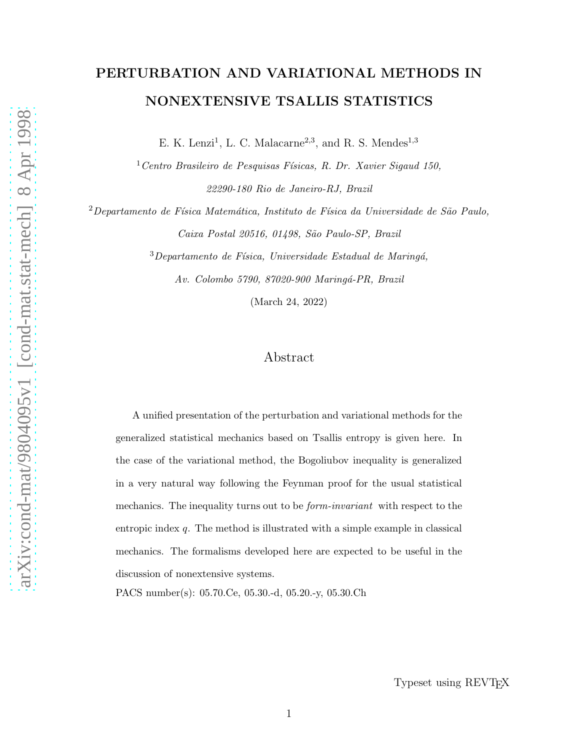# PERTURBATION AND VARIATIONAL METHODS IN NONEXTENSIVE TSALLIS STATISTICS

E. K. Lenzi<sup>1</sup>, L. C. Malacarne<sup>2,3</sup>, and R. S. Mendes<sup>1,3</sup>

 $1$ Centro Brasileiro de Pesquisas Físicas, R. Dr. Xavier Sigaud 150, 22290-180 Rio de Janeiro-RJ, Brazil

 $2$ Departamento de Física Matemática, Instituto de Física da Universidade de São Paulo, Caixa Postal 20516, 01498, São Paulo-SP, Brazil

> $3$ Departamento de Física, Universidade Estadual de Maringá, Av. Colombo 5790, 87020-900 Maringá-PR, Brazil

> > (March 24, 2022)

## Abstract

A unified presentation of the perturbation and variational methods for the generalized statistical mechanics based on Tsallis entropy is given here. In the case of the variational method, the Bogoliubov inequality is generalized in a very natural way following the Feynman proof for the usual statistical mechanics. The inequality turns out to be *form-invariant* with respect to the entropic index q. The method is illustrated with a simple example in classical mechanics. The formalisms developed here are expected to be useful in the discussion of nonextensive systems.

PACS number(s): 05.70.Ce, 05.30.-d, 05.20.-y, 05.30.Ch

Typeset using REVTEX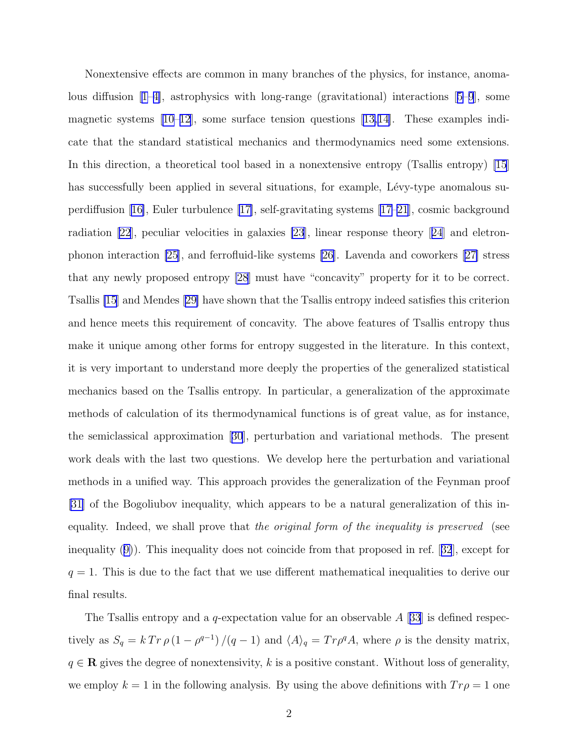Nonextensive effects are common in many branches of the physics, for instance, anomalousdiffusion  $|1-4|$ , astrophysics with long-range (gravitational) interactions  $|5-9|$ , some magnetic systems [\[10–12](#page-7-0)], some surface tension questions[[13,14\]](#page-7-0). These examples indicate that the standard statistical mechanics and thermodynamics need some extensions. In this direction, a theoretical tool based in a nonextensive entropy (Tsallis entropy) [\[15](#page-7-0)] has successfully been applied in several situations, for example, Lévy-type anomalous superdiffusion[[16\]](#page-7-0), Euler turbulence [\[17\]](#page-7-0), self-gravitating systems[[17](#page-7-0)[–21](#page-8-0)], cosmic background radiation [\[22](#page-8-0)], peculiar velocities in galaxies [\[23](#page-8-0)], linear response theory [[24](#page-8-0)] and eletronphonon interaction [\[25\]](#page-8-0), and ferrofluid-like systems [\[26](#page-8-0)]. Lavenda and coworkers [\[27\]](#page-8-0) stress that any newly proposed entropy [\[28](#page-8-0)] must have "concavity" property for it to be correct. Tsallis [\[15](#page-7-0)] and Mendes[[29\]](#page-8-0) have shown that the Tsallis entropy indeed satisfies this criterion and hence meets this requirement of concavity. The above features of Tsallis entropy thus make it unique among other forms for entropy suggested in the literature. In this context, it is very important to understand more deeply the properties of the generalized statistical mechanics based on the Tsallis entropy. In particular, a generalization of the approximate methods of calculation of its thermodynamical functions is of great value, as for instance, the semiclassical approximation[[30](#page-8-0)], perturbation and variational methods. The present work deals with the last two questions. We develop here the perturbation and variational methods in a unified way. This approach provides the generalization of the Feynman proof [\[31\]](#page-9-0) of the Bogoliubov inequality, which appears to be a natural generalization of this inequality. Indeed, we shall prove that the original form of the inequality is preserved (see inequality([9\)](#page-4-0)). This inequality does not coincide from that proposed in ref.[[32](#page-9-0)], except for  $q = 1$ . This is due to the fact that we use different mathematical inequalities to derive our final results.

The Tsallis entropy and a *q*-expectation value for an observable A [[33](#page-9-0)] is defined respectively as  $S_q = k Tr \rho (1 - \rho^{q-1}) / (q-1)$  and  $\langle A \rangle_q = Tr \rho^q A$ , where  $\rho$  is the density matrix,  $q \in \mathbf{R}$  gives the degree of nonextensivity, k is a positive constant. Without loss of generality, we employ  $k = 1$  in the following analysis. By using the above definitions with  $Tr \rho = 1$  one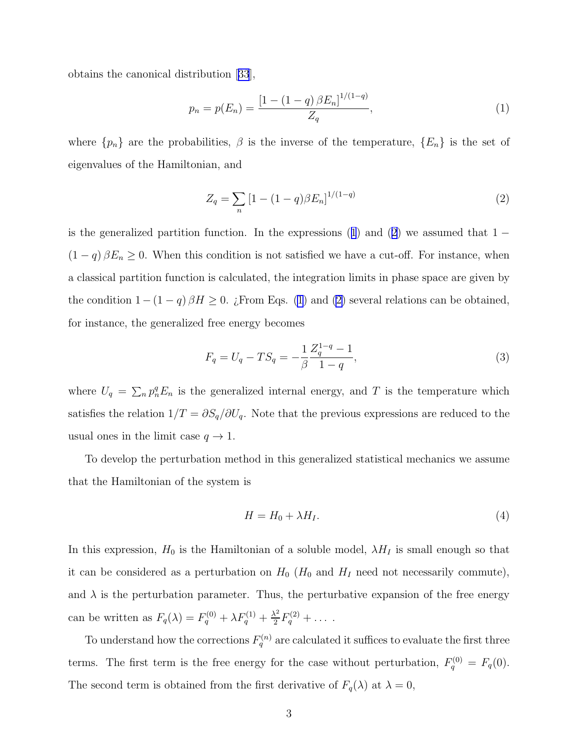<span id="page-2-0"></span>obtains the canonical distribution[[33](#page-9-0)],

$$
p_n = p(E_n) = \frac{\left[1 - (1 - q)\beta E_n\right]^{1/(1-q)}}{Z_q},\tag{1}
$$

where  $\{p_n\}$  are the probabilities,  $\beta$  is the inverse of the temperature,  $\{E_n\}$  is the set of eigenvalues of the Hamiltonian, and

$$
Z_q = \sum_n \left[1 - (1 - q)\beta E_n\right]^{1/(1-q)}\tag{2}
$$

is the generalized partition function. In the expressions (1) and (2) we assumed that  $1 (1 - q) \beta E_n \geq 0$ . When this condition is not satisfied we have a cut-off. For instance, when a classical partition function is calculated, the integration limits in phase space are given by the condition  $1-(1-q)\beta H \geq 0$ . ¿From Eqs. (1) and (2) several relations can be obtained, for instance, the generalized free energy becomes

$$
F_q = U_q - TS_q = -\frac{1}{\beta} \frac{Z_q^{1-q} - 1}{1-q},\tag{3}
$$

where  $U_q = \sum_n p_n^q E_n$  is the generalized internal energy, and T is the temperature which satisfies the relation  $1/T = \partial S_q/\partial U_q$ . Note that the previous expressions are reduced to the usual ones in the limit case  $q \to 1$ .

To develop the perturbation method in this generalized statistical mechanics we assume that the Hamiltonian of the system is

$$
H = H_0 + \lambda H_I. \tag{4}
$$

In this expression,  $H_0$  is the Hamiltonian of a soluble model,  $\lambda H_I$  is small enough so that it can be considered as a perturbation on  $H_0$  ( $H_0$  and  $H_I$  need not necessarily commute), and  $\lambda$  is the perturbation parameter. Thus, the perturbative expansion of the free energy can be written as  $F_q(\lambda) = F_q^{(0)} + \lambda F_q^{(1)} + \frac{\lambda^2}{2}$  $\frac{\lambda^2}{2}F_q^{(2)} + \ldots$ 

To understand how the corrections  $F_q^{(n)}$  are calculated it suffices to evaluate the first three terms. The first term is the free energy for the case without perturbation,  $F_q^{(0)} = F_q(0)$ . The second term is obtained from the first derivative of  $F_q(\lambda)$  at  $\lambda = 0$ ,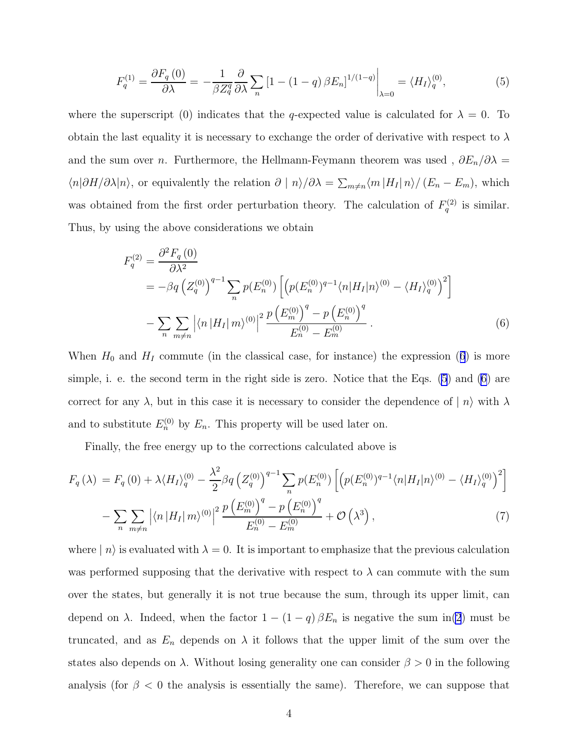$$
F_q^{(1)} = \frac{\partial F_q(0)}{\partial \lambda} = -\frac{1}{\beta Z_q^q} \frac{\partial}{\partial \lambda} \sum_n \left[1 - (1 - q) \beta E_n\right]^{1/(1-q)} \bigg|_{\lambda=0} = \langle H_I \rangle_q^{(0)},\tag{5}
$$

<span id="page-3-0"></span>where the superscript (0) indicates that the q-expected value is calculated for  $\lambda = 0$ . To obtain the last equality it is necessary to exchange the order of derivative with respect to  $\lambda$ and the sum over *n*. Furthermore, the Hellmann-Feymann theorem was used ,  $\partial E_n/\partial \lambda =$  $\langle n|\partial H/\partial\lambda|n\rangle$ , or equivalently the relation  $\partial |n\rangle/\partial\lambda = \sum_{m\neq n}\langle m|H_I|n\rangle/(E_n - E_m)$ , which was obtained from the first order perturbation theory. The calculation of  $F_q^{(2)}$  is similar. Thus, by using the above considerations we obtain

$$
F_q^{(2)} = \frac{\partial^2 F_q(0)}{\partial \lambda^2}
$$
  
=  $-\beta q \left( Z_q^{(0)} \right)^{q-1} \sum_n p(E_n^{(0)}) \left[ \left( p(E_n^{(0)})^{q-1} \langle n | H_I | n \rangle^{(0)} - \langle H_I \rangle_q^{(0)} \right)^2 \right]$   
-  $\sum_n \sum_{m \neq n} \left| \langle n | H_I | m \rangle^{(0)} \right|^2 \frac{p \left( E_m^{(0)} \right)^q - p \left( E_n^{(0)} \right)^q}{E_n^{(0)} - E_m^{(0)}} .$  (6)

When  $H_0$  and  $H_1$  commute (in the classical case, for instance) the expression (6) is more simple, i. e. the second term in the right side is zero. Notice that the Eqs. (5) and (6) are correct for any  $\lambda$ , but in this case it is necessary to consider the dependence of  $|n\rangle$  with  $\lambda$ and to substitute  $E_n^{(0)}$  by  $E_n$ . This property will be used later on.

Finally, the free energy up to the corrections calculated above is

$$
F_q(\lambda) = F_q(0) + \lambda \langle H_I \rangle_q^{(0)} - \frac{\lambda^2}{2} \beta q \left( Z_q^{(0)} \right)^{q-1} \sum_n p(E_n^{(0)}) \left[ \left( p(E_n^{(0)})^{q-1} \langle n | H_I | n \rangle^{(0)} - \langle H_I \rangle_q^{(0)} \right)^2 \right] - \sum_n \sum_{m \neq n} \left| \langle n | H_I | m \rangle^{(0)} \right|^2 \frac{p \left( E_m^{(0)} \right)^q - p \left( E_n^{(0)} \right)^q}{E_n^{(0)} - E_m^{(0)}} + \mathcal{O}\left(\lambda^3\right), \tag{7}
$$

where  $| n \rangle$  is evaluated with  $\lambda = 0$ . It is important to emphasize that the previous calculation was performed supposing that the derivative with respect to  $\lambda$  can commute with the sum over the states, but generally it is not true because the sum, through its upper limit, can depend on  $\lambda$ . Indeed, when the factor  $1 - (1 - q) \beta E_n$  is negative the sum in[\(2](#page-2-0)) must be truncated, and as  $E_n$  depends on  $\lambda$  it follows that the upper limit of the sum over the states also depends on  $\lambda$ . Without losing generality one can consider  $\beta > 0$  in the following analysis (for  $\beta$  < 0 the analysis is essentially the same). Therefore, we can suppose that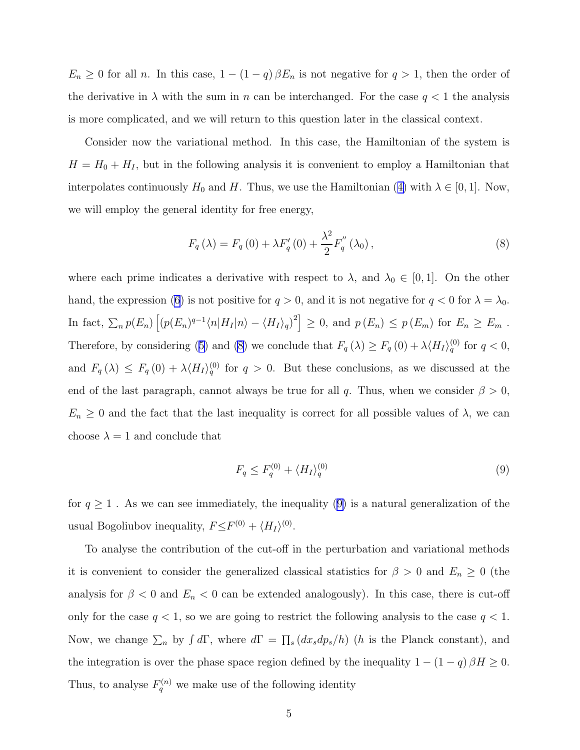<span id="page-4-0"></span> $E_n \geq 0$  for all *n*. In this case,  $1 - (1 - q) \beta E_n$  is not negative for  $q > 1$ , then the order of the derivative in  $\lambda$  with the sum in n can be interchanged. For the case  $q < 1$  the analysis is more complicated, and we will return to this question later in the classical context.

Consider now the variational method. In this case, the Hamiltonian of the system is  $H = H_0 + H_I$ , but in the following analysis it is convenient to employ a Hamiltonian that interpolatescontinuously  $H_0$  and H. Thus, we use the Hamiltonian ([4\)](#page-2-0) with  $\lambda \in [0, 1]$ . Now, we will employ the general identity for free energy,

$$
F_{q}(\lambda) = F_{q}(0) + \lambda F'_{q}(0) + \frac{\lambda^{2}}{2} F''_{q}(\lambda_{0}), \qquad (8)
$$

where each prime indicates a derivative with respect to  $\lambda$ , and  $\lambda_0 \in [0,1]$ . On the other hand, the expression [\(6](#page-3-0)) is not positive for  $q > 0$ , and it is not negative for  $q < 0$  for  $\lambda = \lambda_0$ . In fact,  $\sum_n p(E_n) \left[ (p(E_n)^{q-1} \langle n | H_I | n \rangle - \langle H_I \rangle_q)^2 \right] \geq 0$ , and  $p(E_n) \leq p(E_m)$  for  $E_n \geq E_m$ . Therefore,by considering ([5\)](#page-3-0) and (8) we conclude that  $F_q(\lambda) \ge F_q(0) + \lambda \langle H_I \rangle_q^{(0)}$  for  $q < 0$ , and  $F_q(\lambda) \leq F_q(0) + \lambda \langle H_I \rangle_q^{(0)}$  for  $q > 0$ . But these conclusions, as we discussed at the end of the last paragraph, cannot always be true for all q. Thus, when we consider  $\beta > 0$ ,  $E_n \geq 0$  and the fact that the last inequality is correct for all possible values of  $\lambda$ , we can choose  $\lambda = 1$  and conclude that

$$
F_q \le F_q^{(0)} + \langle H_I \rangle_q^{(0)} \tag{9}
$$

for  $q\geq 1$  . As we can see immediately, the inequality (9) is a natural generalization of the usual Bogoliubov inequality,  $F \leq F^{(0)} + \langle H_I \rangle^{(0)}$ .

To analyse the contribution of the cut-off in the perturbation and variational methods it is convenient to consider the generalized classical statistics for  $\beta > 0$  and  $E_n \ge 0$  (the analysis for  $\beta < 0$  and  $E_n < 0$  can be extended analogously). In this case, there is cut-off only for the case  $q < 1$ , so we are going to restrict the following analysis to the case  $q < 1$ . Now, we change  $\sum_n$  by  $\int d\Gamma$ , where  $d\Gamma = \prod_s (dx_s dp_s/h)$  (h is the Planck constant), and the integration is over the phase space region defined by the inequality  $1 - (1 - q) \beta H \ge 0$ . Thus, to analyse  $F_q^{(n)}$  we make use of the following identity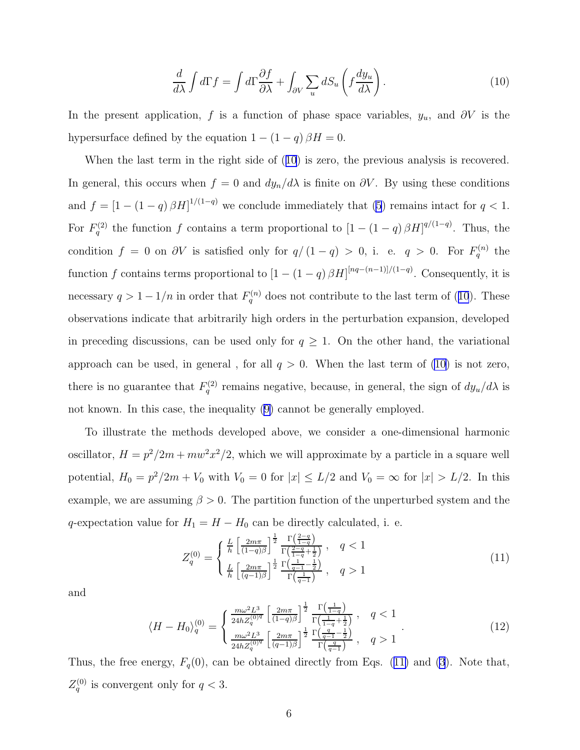$$
\frac{d}{d\lambda} \int d\Gamma f = \int d\Gamma \frac{\partial f}{\partial \lambda} + \int_{\partial V} \sum_{u} dS_u \left( f \frac{dy_u}{d\lambda} \right). \tag{10}
$$

In the present application, f is a function of phase space variables,  $y_u$ , and  $\partial V$  is the hypersurface defined by the equation  $1 - (1 - q) \beta H = 0$ .

When the last term in the right side of (10) is zero, the previous analysis is recovered. In general, this occurs when  $f = 0$  and  $dy_n/d\lambda$  is finite on  $\partial V$ . By using these conditions and  $f = [1 - (1 - q) \beta H]^{1/(1-q)}$  we conclude immediately that [\(5](#page-3-0)) remains intact for  $q < 1$ . For  $F_q^{(2)}$  the function f contains a term proportional to  $\left[1-(1-q)\beta H\right]^{q/(1-q)}$ . Thus, the condition  $f = 0$  on  $\partial V$  is satisfied only for  $q/(1-q) > 0$ , i. e.  $q > 0$ . For  $F_q^{(n)}$  the function f contains terms proportional to  $\left[1-(1-q)\beta H\right]^{[nq-(n-1)]/(1-q)}$ . Consequently, it is necessary  $q > 1 - 1/n$  in order that  $F_q^{(n)}$  does not contribute to the last term of (10). These observations indicate that arbitrarily high orders in the perturbation expansion, developed in preceding discussions, can be used only for  $q \geq 1$ . On the other hand, the variational approach can be used, in general, for all  $q > 0$ . When the last term of (10) is not zero, there is no guarantee that  $F_q^{(2)}$  remains negative, because, in general, the sign of  $dy_u/d\lambda$  is not known. In this case, the inequality([9\)](#page-4-0) cannot be generally employed.

To illustrate the methods developed above, we consider a one-dimensional harmonic oscillator,  $H = p^2/2m + mw^2x^2/2$ , which we will approximate by a particle in a square well potential,  $H_0 = p^2/2m + V_0$  with  $V_0 = 0$  for  $|x| \le L/2$  and  $V_0 = \infty$  for  $|x| > L/2$ . In this example, we are assuming  $\beta > 0$ . The partition function of the unperturbed system and the q-expectation value for  $H_1 = H - H_0$  can be directly calculated, i. e.

$$
Z_q^{(0)} = \begin{cases} \frac{L}{h} \left[ \frac{2m\pi}{(1-q)\beta} \right]^{\frac{1}{2}} \frac{\Gamma(\frac{2-q}{1-q})}{\Gamma(\frac{2-q}{1-q} + \frac{1}{2})}, & q < 1\\ \frac{L}{h} \left[ \frac{2m\pi}{(q-1)\beta} \right]^{\frac{1}{2}} \frac{\Gamma(\frac{1}{q-1} - \frac{1}{2})}{\Gamma(\frac{1}{q-1})}, & q > 1 \end{cases}
$$
(11)

and

$$
\langle H - H_0 \rangle_q^{(0)} = \begin{cases} \frac{m\omega^2 L^3}{24h Z_q^{(0)q}} \left[ \frac{2m\pi}{(1-q)\beta} \right]^{\frac{1}{2}} \frac{\Gamma\left(\frac{1}{1-q}\right)}{\Gamma\left(\frac{1}{1-q} + \frac{1}{2}\right)} , & q < 1\\ \frac{m\omega^2 L^3}{24h Z_q^{(0)q}} \left[ \frac{2m\pi}{(q-1)\beta} \right]^{\frac{1}{2}} \frac{\Gamma\left(\frac{q}{q-1} - \frac{1}{2}\right)}{\Gamma\left(\frac{q}{q-1}\right)} , & q > 1 \end{cases} \tag{12}
$$

Thus, the free energy,  $F_q(0)$ , can be obtained directly from Eqs. (11) and [\(3](#page-2-0)). Note that,  $Z_q^{(0)}$  is convergent only for  $q < 3$ .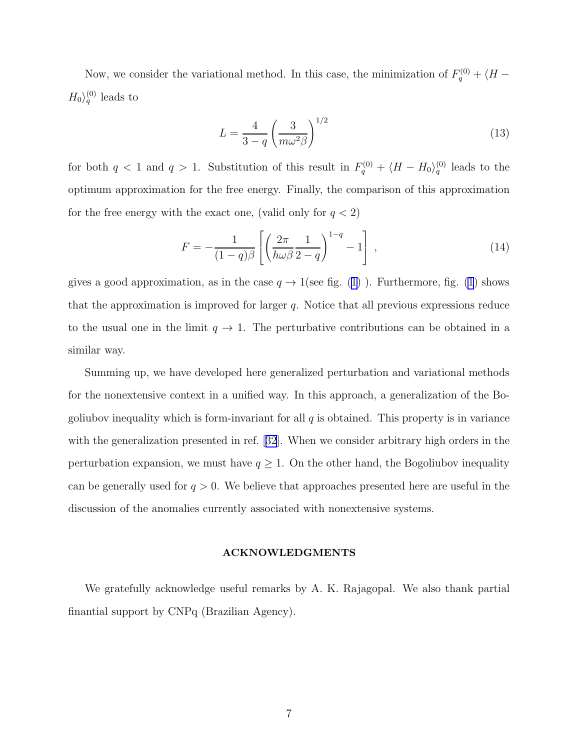Now, we consider the variational method. In this case, the minimization of  $F_q^{(0)} + \langle H \langle H_0 \rangle_q^{(0)}$  leads to

$$
L = \frac{4}{3 - q} \left(\frac{3}{m\omega^2 \beta}\right)^{1/2} \tag{13}
$$

for both  $q < 1$  and  $q > 1$ . Substitution of this result in  $F_q^{(0)} + \langle H - H_0 \rangle_q^{(0)}$  leads to the optimum approximation for the free energy. Finally, the comparison of this approximation for the free energy with the exact one, (valid only for  $q < 2$ )

$$
F = -\frac{1}{(1-q)\beta} \left[ \left( \frac{2\pi}{h\omega\beta} \frac{1}{2-q} \right)^{1-q} - 1 \right],\tag{14}
$$

gives a good approximation, as in the case  $q \to 1$  (see fig. [\(1\)](#page-10-0)). Furthermore, fig. [\(1](#page-10-0)) shows that the approximation is improved for larger q. Notice that all previous expressions reduce to the usual one in the limit  $q \to 1$ . The perturbative contributions can be obtained in a similar way.

Summing up, we have developed here generalized perturbation and variational methods for the nonextensive context in a unified way. In this approach, a generalization of the Bogoliubov inequality which is form-invariant for all  $q$  is obtained. This property is in variance with the generalization presented in ref.[[32](#page-9-0)]. When we consider arbitrary high orders in the perturbation expansion, we must have  $q \geq 1$ . On the other hand, the Bogoliubov inequality can be generally used for  $q > 0$ . We believe that approaches presented here are useful in the discussion of the anomalies currently associated with nonextensive systems.

#### ACKNOWLEDGMENTS

We gratefully acknowledge useful remarks by A. K. Rajagopal. We also thank partial finantial support by CNPq (Brazilian Agency).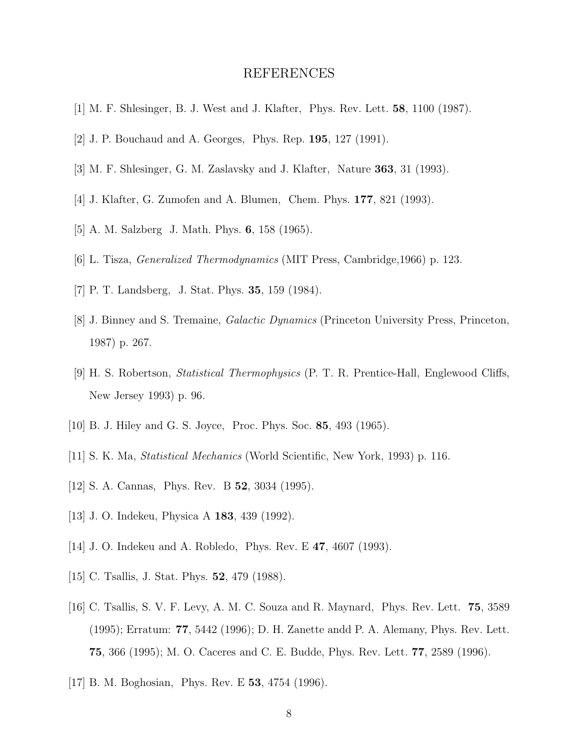### REFERENCES

- <span id="page-7-0"></span>[1] M. F. Shlesinger, B. J. West and J. Klafter, Phys. Rev. Lett. 58, 1100 (1987).
- [2] J. P. Bouchaud and A. Georges, Phys. Rep. 195, 127 (1991).
- [3] M. F. Shlesinger, G. M. Zaslavsky and J. Klafter, Nature 363, 31 (1993).
- [4] J. Klafter, G. Zumofen and A. Blumen, Chem. Phys. 177, 821 (1993).
- [5] A. M. Salzberg J. Math. Phys. 6, 158 (1965).
- [6] L. Tisza, Generalized Thermodynamics (MIT Press, Cambridge,1966) p. 123.
- [7] P. T. Landsberg, J. Stat. Phys. 35, 159 (1984).
- [8] J. Binney and S. Tremaine, *Galactic Dynamics* (Princeton University Press, Princeton, 1987) p. 267.
- [9] H. S. Robertson, Statistical Thermophysics (P. T. R. Prentice-Hall, Englewood Cliffs, New Jersey 1993) p. 96.
- [10] B. J. Hiley and G. S. Joyce, Proc. Phys. Soc. 85, 493 (1965).
- [11] S. K. Ma, Statistical Mechanics (World Scientific, New York, 1993) p. 116.
- [12] S. A. Cannas, Phys. Rev. B 52, 3034 (1995).
- [13] J. O. Indekeu, Physica A 183, 439 (1992).
- [14] J. O. Indekeu and A. Robledo, Phys. Rev. E 47, 4607 (1993).
- [15] C. Tsallis, J. Stat. Phys. **52**, 479 (1988).
- [16] C. Tsallis, S. V. F. Levy, A. M. C. Souza and R. Maynard, Phys. Rev. Lett. 75, 3589 (1995); Erratum: 77, 5442 (1996); D. H. Zanette andd P. A. Alemany, Phys. Rev. Lett. 75, 366 (1995); M. O. Caceres and C. E. Budde, Phys. Rev. Lett. 77, 2589 (1996).
- [17] B. M. Boghosian, Phys. Rev. E 53, 4754 (1996).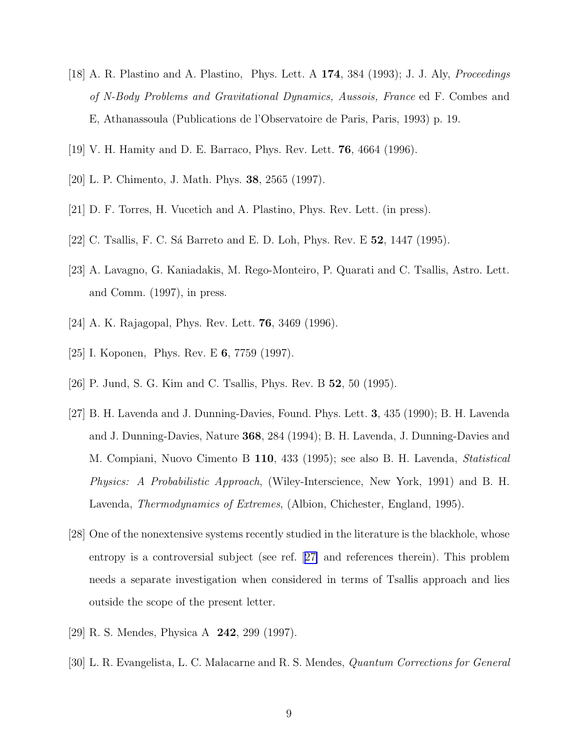- <span id="page-8-0"></span>[18] A. R. Plastino and A. Plastino, Phys. Lett. A 174, 384 (1993); J. J. Aly, Proceedings of N-Body Problems and Gravitational Dynamics, Aussois, France ed F. Combes and E, Athanassoula (Publications de l'Observatoire de Paris, Paris, 1993) p. 19.
- [19] V. H. Hamity and D. E. Barraco, Phys. Rev. Lett. 76, 4664 (1996).
- [20] L. P. Chimento, J. Math. Phys. 38, 2565 (1997).
- [21] D. F. Torres, H. Vucetich and A. Plastino, Phys. Rev. Lett. (in press).
- [22] C. Tsallis, F. C. Sá Barreto and E. D. Loh, Phys. Rev. E **52**, 1447 (1995).
- [23] A. Lavagno, G. Kaniadakis, M. Rego-Monteiro, P. Quarati and C. Tsallis, Astro. Lett. and Comm. (1997), in press.
- [24] A. K. Rajagopal, Phys. Rev. Lett. 76, 3469 (1996).
- [25] I. Koponen, Phys. Rev. E 6, 7759 (1997).
- [26] P. Jund, S. G. Kim and C. Tsallis, Phys. Rev. B 52, 50 (1995).
- [27] B. H. Lavenda and J. Dunning-Davies, Found. Phys. Lett. 3, 435 (1990); B. H. Lavenda and J. Dunning-Davies, Nature 368, 284 (1994); B. H. Lavenda, J. Dunning-Davies and M. Compiani, Nuovo Cimento B 110, 433 (1995); see also B. H. Lavenda, Statistical Physics: A Probabilistic Approach, (Wiley-Interscience, New York, 1991) and B. H. Lavenda, Thermodynamics of Extremes, (Albion, Chichester, England, 1995).
- [28] One of the nonextensive systems recently studied in the literature is the blackhole, whose entropy is a controversial subject (see ref. [27] and references therein). This problem needs a separate investigation when considered in terms of Tsallis approach and lies outside the scope of the present letter.
- [29] R. S. Mendes, Physica A 242, 299 (1997).
- [30] L. R. Evangelista, L. C. Malacarne and R. S. Mendes, Quantum Corrections for General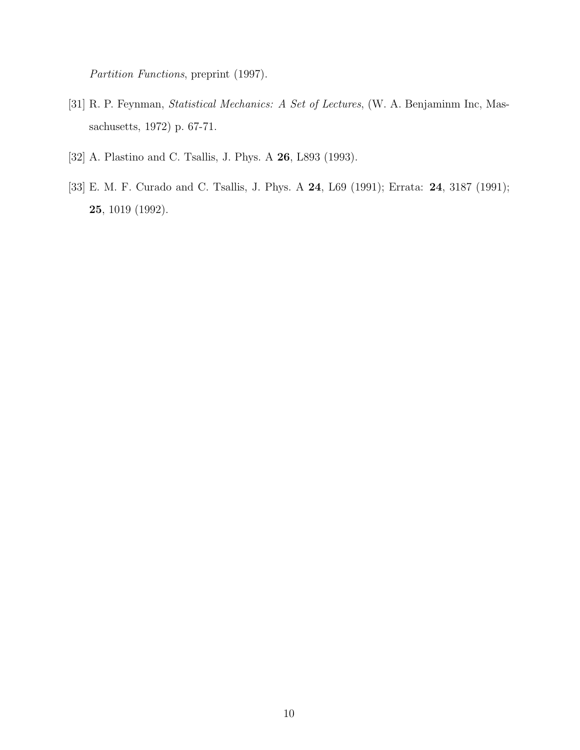<span id="page-9-0"></span>Partition Functions, preprint (1997).

- [31] R. P. Feynman, Statistical Mechanics: A Set of Lectures, (W. A. Benjaminm Inc, Massachusetts, 1972) p. 67-71.
- [32] A. Plastino and C. Tsallis, J. Phys. A **26**, L893 (1993).
- [33] E. M. F. Curado and C. Tsallis, J. Phys. A 24, L69 (1991); Errata: 24, 3187 (1991); 25, 1019 (1992).